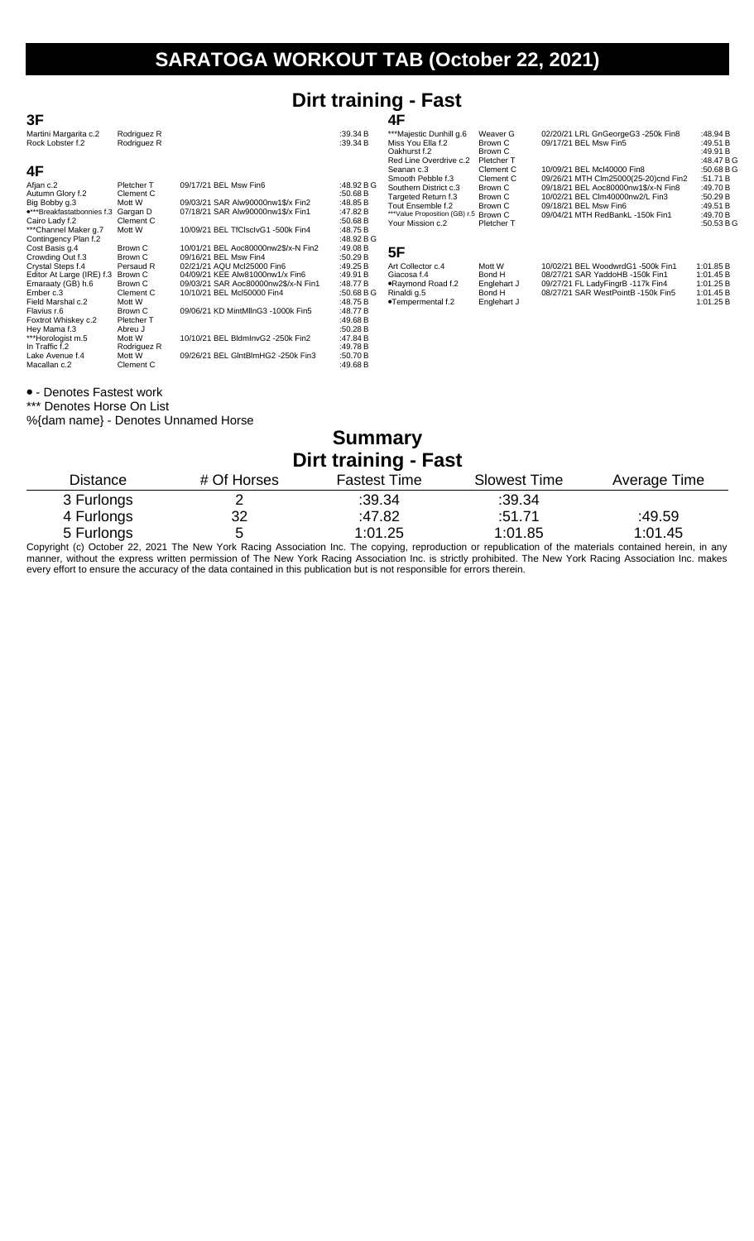## **Dirt training - Fast**

| 3F                                        |                            |                                     |                      | 4F                                                           |                                      |                                                                    |                                        |
|-------------------------------------------|----------------------------|-------------------------------------|----------------------|--------------------------------------------------------------|--------------------------------------|--------------------------------------------------------------------|----------------------------------------|
| Martini Margarita c.2<br>Rock Lobster f.2 | Rodriguez R<br>Rodriguez R |                                     | :39.34 B<br>:39.34 B | ***Majestic Dunhill g.6<br>Miss You Ella f.2<br>Oakhurst f.2 | Weaver G<br>Brown C<br>Brown C       | 02/20/21 LRL GnGeorgeG3 -250k Fin8<br>09/17/21 BEL Msw Fin5        | :48.94 B<br>:49.51 B<br>:49.91B        |
| 4F                                        |                            |                                     |                      | Red Line Overdrive c.2<br>Seanan c.3<br>Smooth Pebble f.3    | Pletcher T<br>Clement C<br>Clement C | 10/09/21 BEL Mcl40000 Fin8<br>09/26/21 MTH Clm25000(25-20)cnd Fin2 | :48.47 B G<br>:50.68 $B$ G<br>:51.71 B |
| Afjan c.2                                 | Pletcher T                 | 09/17/21 BEL Msw Fin6               | :48.92 B G           | Southern District c.3                                        | Brown C                              | 09/18/21 BEL Aoc80000nw1\$/x-N Fin8                                | :49.70 B                               |
| Autumn Glory f.2<br>Big Bobby g.3         | Clement C<br>Mott W        | 09/03/21 SAR Alw90000nw1\$/x Fin2   | :50.68 B<br>:48.85 B | Targeted Return f.3                                          | Brown C                              | 10/02/21 BEL CIm40000nw2/L Fin3                                    | :50.29 B                               |
| •***Breakfastatbonnies f.3                | Gargan D                   | 07/18/21 SAR Alw90000nw1\$/x Fin1   | :47.82 B             | Tout Ensemble f.2<br>***Value Proposition (GB) r.5           | Brown C<br>Brown C                   | 09/18/21 BEL Msw Fin6<br>09/04/21 MTH RedBankL -150k Fin1          | :49.51 B<br>:49.70 B                   |
| Cairo Lady f.2                            | Clement C                  |                                     | :50.68 B             | Your Mission c.2                                             | <b>Pletcher T</b>                    |                                                                    | :50.53 $B$ G                           |
| ***Channel Maker g.7                      | Mott W                     | 10/09/21 BEL TfClsclvG1 -500k Fin4  | :48.75 B             |                                                              |                                      |                                                                    |                                        |
| Contingency Plan f.2                      |                            |                                     | :48.92 B G           |                                                              |                                      |                                                                    |                                        |
| Cost Basis q.4                            | Brown C                    | 10/01/21 BEL Aoc80000nw2\$/x-N Fin2 | :49.08 B             | 5F                                                           |                                      |                                                                    |                                        |
| Crowding Out f.3                          | Brown C                    | 09/16/21 BEL Msw Fin4               | :50.29 $B$           |                                                              |                                      |                                                                    |                                        |
| Crystal Steps f.4                         | Persaud R                  | 02/21/21 AQU Mcl25000 Fin6          | :49.25 B             | Art Collector c.4                                            | Mott W                               | 10/02/21 BEL WoodwrdG1 -500k Fin1                                  | 1:01.85 B                              |
| Editor At Large (IRE) f.3                 | Brown C                    | 04/09/21 KEE Alw81000nw1/x Fin6     | :49.91 B             | Giacosa f.4                                                  | Bond H                               | 08/27/21 SAR YaddoHB -150k Fin1                                    | 1:01.45 B                              |
| Emaraaty (GB) h.6                         | Brown C                    | 09/03/21 SAR Aoc80000nw2\$/x-N Fin1 | :48.77 B             | .Raymond Road f.2                                            | Englehart J                          | 09/27/21 FL LadyFingrB -117k Fin4                                  | 1:01.25 B                              |
| Ember c.3                                 | Clement C                  | 10/10/21 BEL Mcl50000 Fin4          | :50.68 B G           | Rinaldi g.5                                                  | Bond H                               | 08/27/21 SAR WestPointB -150k Fin5                                 | 1:01.45 B                              |
| Field Marshal c.2                         | Mott W                     |                                     | :48.75 B             | •Tempermental f.2                                            | Englehart J                          |                                                                    | 1:01.25 B                              |
| Flavius r.6                               | Brown C                    | 09/06/21 KD MintMlInG3 -1000k Fin5  | :48.77B              |                                                              |                                      |                                                                    |                                        |
| Foxtrot Whiskey c.2                       | Pletcher T                 |                                     | :49.68 B             |                                                              |                                      |                                                                    |                                        |
| Hey Mama f.3                              | Abreu J                    |                                     | :50.28 B             |                                                              |                                      |                                                                    |                                        |
| ***Horologist m.5                         | Mott W                     | 10/10/21 BEL BldmInvG2 -250k Fin2   | :47.84 B             |                                                              |                                      |                                                                    |                                        |
| In Traffic f.2                            | Rodriguez R                |                                     | :49.78 B             |                                                              |                                      |                                                                    |                                        |
| Lake Avenue f.4                           | Mott W                     | 09/26/21 BEL GIntBlmHG2 -250k Fin3  | :50.70 B             |                                                              |                                      |                                                                    |                                        |
| Macallan c.2                              | Clement C                  |                                     | :49.68 $B$           |                                                              |                                      |                                                                    |                                        |

#### - Denotes Fastest work

\*\*\* Denotes Horse On List

#### %{dam name} - Denotes Unnamed Horse

### **Summary Dirt training - Fast**

| ------          |                                                                                                                                                         |                     |                     |              |  |  |  |
|-----------------|---------------------------------------------------------------------------------------------------------------------------------------------------------|---------------------|---------------------|--------------|--|--|--|
| <b>Distance</b> | # Of Horses                                                                                                                                             | <b>Fastest Time</b> | <b>Slowest Time</b> | Average Time |  |  |  |
| 3 Furlongs      | ∼                                                                                                                                                       | :39.34              | :39.34              |              |  |  |  |
| 4 Furlongs      | 32                                                                                                                                                      | :47.82              | :51.71              | :49.59       |  |  |  |
| 5 Furlongs      | b                                                                                                                                                       | 1:01.25             | 1:01.85             | 1:01.45      |  |  |  |
|                 | Convight (a) October 22, 2021 The New York Regiona Accordition Ing. The convince reproduction or republication of the materials contained berein in any |                     |                     |              |  |  |  |

Copyright (c) October 22, 2021 The New York Racing Association Inc. The copying, reproduction or republication of the materials contained herein, in any manner, without the express written permission of The New York Racing Association Inc. is strictly prohibited. The New York Racing Association Inc. makes every effort to ensure the accuracy of the data contained in this publication but is not responsible for errors therein.